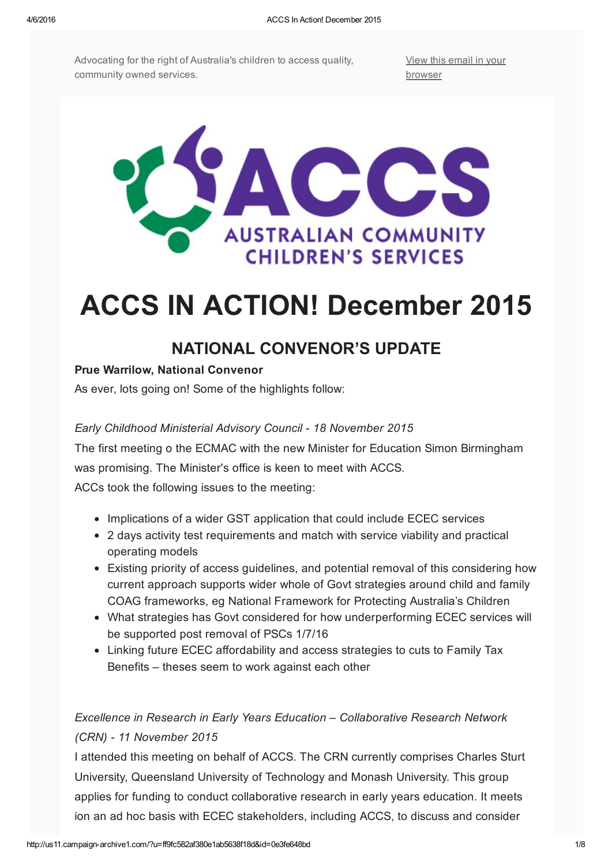Advocating for the right of Australia's children to access quality, community owned services.

View this email in your [browser](http://us11.campaign-archive2.com/?u=ff9fc582af380e1ab5638f18d&id=0e3fe648bd&e=[UNIQID])



# ACCS IN ACTION! December 2015

# NATIONAL CONVENOR'S UPDATE

## Prue Warrilow, National Convenor

As ever, lots going on! Some of the highlights follow:

#### *Early Childhood Ministerial Advisory Council 18 November 2015*

The first meeting o the ECMAC with the new Minister for Education Simon Birmingham was promising. The Minister's office is keen to meet with ACCS.

ACCs took the following issues to the meeting:

- Implications of a wider GST application that could include ECEC services
- 2 days activity test requirements and match with service viability and practical operating models
- Existing priority of access guidelines, and potential removal of this considering how current approach supports wider whole of Govt strategies around child and family COAG frameworks, eg National Framework for Protecting Australia's Children
- What strategies has Govt considered for how underperforming ECEC services will be supported post removal of PSCs 1/7/16
- Linking future ECEC affordability and access strategies to cuts to Family Tax Benefits – theses seem to work against each other

## *Excellence in Research in Early Years Education – Collaborative Research Network (CRN) 11 November 2015*

I attended this meeting on behalf of ACCS. The CRN currently comprises Charles Sturt University, Queensland University of Technology and Monash University. This group applies for funding to conduct collaborative research in early years education. It meets ion an ad hoc basis with ECEC stakeholders, including ACCS, to discuss and consider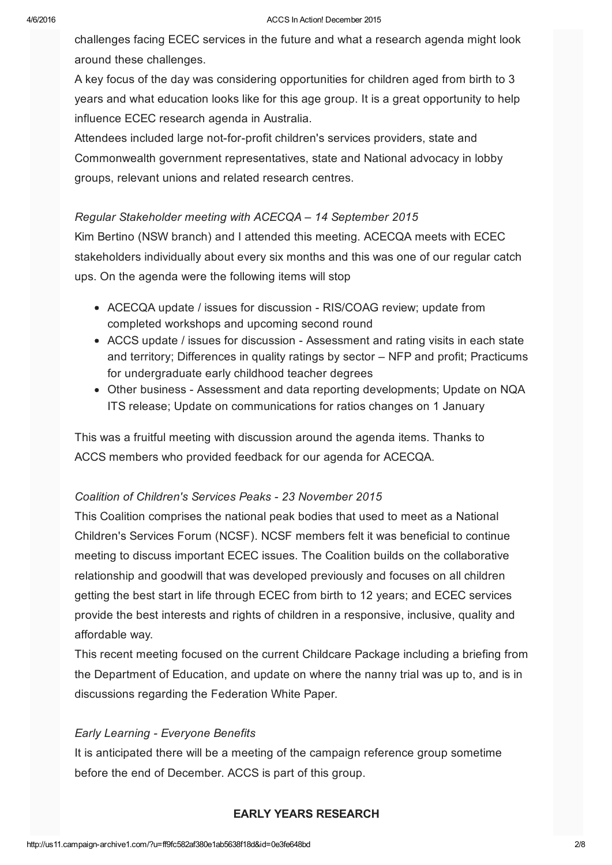challenges facing ECEC services in the future and what a research agenda might look around these challenges.

A key focus of the day was considering opportunities for children aged from birth to 3 years and what education looks like for this age group. It is a great opportunity to help influence ECEC research agenda in Australia.

Attendees included large not-for-profit children's services providers, state and Commonwealth government representatives, state and National advocacy in lobby groups, relevant unions and related research centres.

#### *Regular Stakeholder meeting with ACECQA – 14 September 2015*

Kim Bertino (NSW branch) and I attended this meeting. ACECQA meets with ECEC stakeholders individually about every six months and this was one of our regular catch ups. On the agenda were the following items will stop

- ACECQA update / issues for discussion RIS/COAG review; update from completed workshops and upcoming second round
- ACCS update / issues for discussion Assessment and rating visits in each state and territory; Differences in quality ratings by sector – NFP and profit; Practicums for undergraduate early childhood teacher degrees
- Other business Assessment and data reporting developments; Update on NQA ITS release; Update on communications for ratios changes on 1 January

This was a fruitful meeting with discussion around the agenda items. Thanks to ACCS members who provided feedback for our agenda for ACECQA.

## *Coalition of Children's Services Peaks 23 November 2015*

This Coalition comprises the national peak bodies that used to meet as a National Children's Services Forum (NCSF). NCSF members felt it was beneficial to continue meeting to discuss important ECEC issues. The Coalition builds on the collaborative relationship and goodwill that was developed previously and focuses on all children getting the best start in life through ECEC from birth to 12 years; and ECEC services provide the best interests and rights of children in a responsive, inclusive, quality and affordable way.

This recent meeting focused on the current Childcare Package including a briefing from the Department of Education, and update on where the nanny trial was up to, and is in discussions regarding the Federation White Paper.

#### *Early Learning Everyone Benefits*

It is anticipated there will be a meeting of the campaign reference group sometime before the end of December. ACCS is part of this group.

#### EARLY YEARS RESEARCH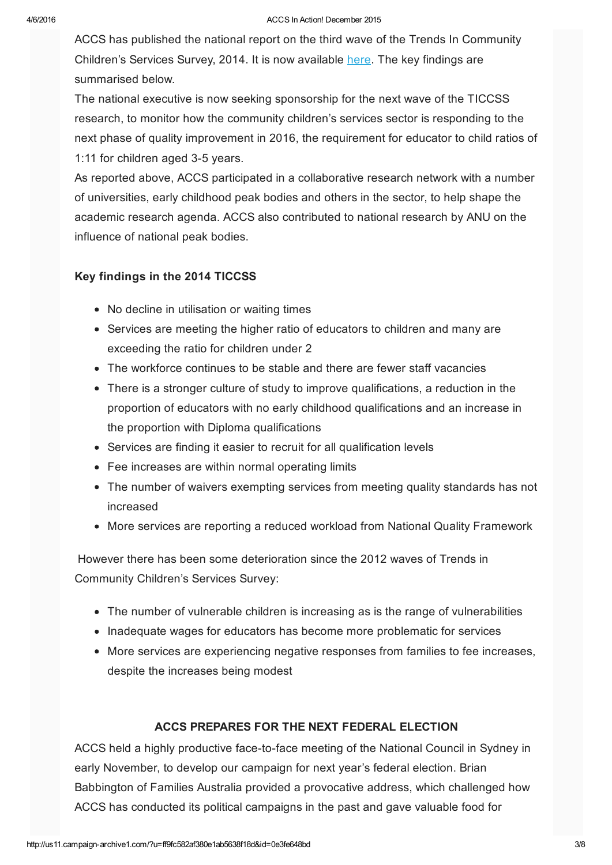#### 4/6/2016 ACCS In Action! December 2015

ACCS has published the national report on the third wave of the Trends In Community Children's Services Survey, 2014. It is now available [here](http://%20http//www.cccinc.org.au/accs/trends-in-community-childrens-services-survey-357). The key findings are summarised below.

The national executive is now seeking sponsorship for the next wave of the TICCSS research, to monitor how the community children's services sector is responding to the next phase of quality improvement in 2016, the requirement for educator to child ratios of 1:11 for children aged 3-5 years.

As reported above, ACCS participated in a collaborative research network with a number of universities, early childhood peak bodies and others in the sector, to help shape the academic research agenda. ACCS also contributed to national research by ANU on the influence of national peak bodies.

#### Key findings in the 2014 TICCSS

- No decline in utilisation or waiting times
- Services are meeting the higher ratio of educators to children and many are exceeding the ratio for children under 2
- The workforce continues to be stable and there are fewer staff vacancies
- There is a stronger culture of study to improve qualifications, a reduction in the proportion of educators with no early childhood qualifications and an increase in the proportion with Diploma qualifications
- Services are finding it easier to recruit for all qualification levels
- Fee increases are within normal operating limits
- The number of waivers exempting services from meeting quality standards has not increased
- More services are reporting a reduced workload from National Quality Framework

However there has been some deterioration since the 2012 waves of Trends in Community Children's Services Survey:

- The number of vulnerable children is increasing as is the range of vulnerabilities
- Inadequate wages for educators has become more problematic for services
- More services are experiencing negative responses from families to fee increases, despite the increases being modest

#### ACCS PREPARES FOR THE NEXT FEDERAL ELECTION

ACCS held a highly productive face-to-face meeting of the National Council in Sydney in early November, to develop our campaign for next year's federal election. Brian Babbington of Families Australia provided a provocative address, which challenged how ACCS has conducted its political campaigns in the past and gave valuable food for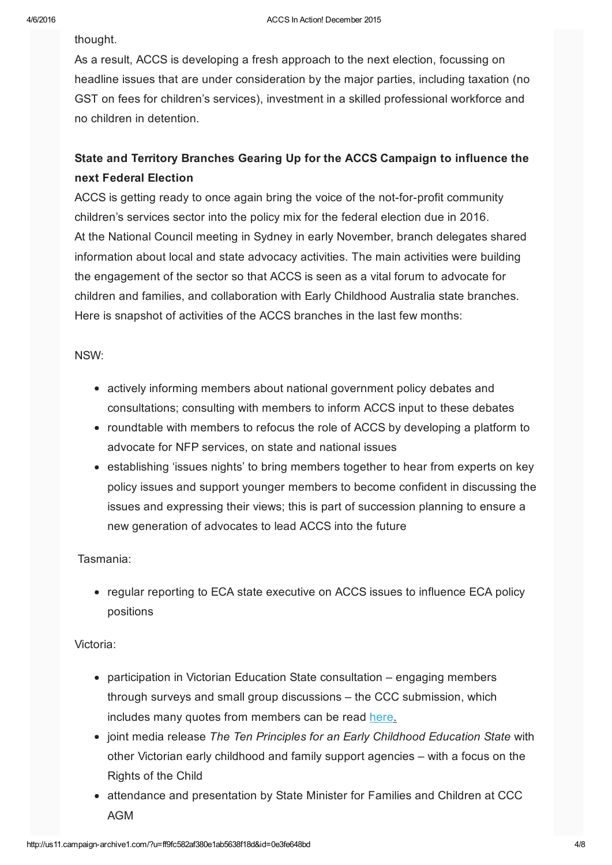thought.

As a result, ACCS is developing a fresh approach to the next election, focussing on headline issues that are under consideration by the major parties, including taxation (no GST on fees for children's services), investment in a skilled professional workforce and no children in detention.

## State and Territory Branches Gearing Up for the ACCS Campaign to influence the next Federal Election

ACCS is getting ready to once again bring the voice of the not-for-profit community children's services sector into the policy mix for the federal election due in 2016. At the National Council meeting in Sydney in early November, branch delegates shared information about local and state advocacy activities. The main activities were building the engagement of the sector so that ACCS is seen as a vital forum to advocate for children and families, and collaboration with Early Childhood Australia state branches. Here is snapshot of activities of the ACCS branches in the last few months:

#### NSW:

- actively informing members about national government policy debates and consultations; consulting with members to inform ACCS input to these debates
- roundtable with members to refocus the role of ACCS by developing a platform to advocate for NFP services, on state and national issues
- establishing 'issues nights' to bring members together to hear from experts on key policy issues and support younger members to become confident in discussing the issues and expressing their views; this is part of succession planning to ensure a new generation of advocates to lead ACCS into the future

#### Tasmania:

• regular reporting to ECA state executive on ACCS issues to influence ECA policy positions

#### Victoria:

- participation in Victorian Education State consultation engaging members through surveys and small group discussions – the CCC submission, which includes many quotes from members can be read [here.](https://gallery.mailchimp.com/ff9fc582af380e1ab5638f18d/files/CCC_Education_State_Conversation_1_.pdf)
- joint media release *The Ten Principles for an Early Childhood Education State* with other Victorian early childhood and family support agencies – with a focus on the Rights of the Child
- attendance and presentation by State Minister for Families and Children at CCC AGM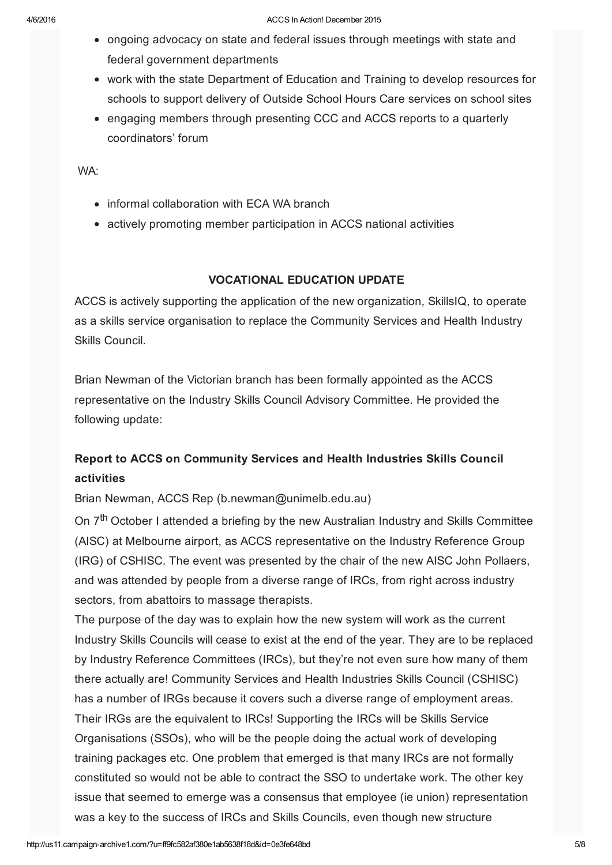- ongoing advocacy on state and federal issues through meetings with state and federal government departments
- work with the state Department of Education and Training to develop resources for schools to support delivery of Outside School Hours Care services on school sites
- engaging members through presenting CCC and ACCS reports to a quarterly coordinators' forum

WA:

- informal collaboration with ECA WA branch
- actively promoting member participation in ACCS national activities

#### VOCATIONAL EDUCATION UPDATE

ACCS is actively supporting the application of the new organization, SkillsIQ, to operate as a skills service organisation to replace the Community Services and Health Industry Skills Council.

Brian Newman of the Victorian branch has been formally appointed as the ACCS representative on the Industry Skills Council Advisory Committee. He provided the following update:

## Report to ACCS on Community Services and Health Industries Skills Council activities

Brian Newman, ACCS Rep (b.newman@unimelb.edu.au)

On 7<sup>th</sup> October I attended a briefing by the new Australian Industry and Skills Committee (AISC) at Melbourne airport, as ACCS representative on the Industry Reference Group (IRG) of CSHISC. The event was presented by the chair of the new AISC John Pollaers, and was attended by people from a diverse range of IRCs, from right across industry sectors, from abattoirs to massage therapists.

The purpose of the day was to explain how the new system will work as the current Industry Skills Councils will cease to exist at the end of the year. They are to be replaced by Industry Reference Committees (IRCs), but they're not even sure how many of them there actually are! Community Services and Health Industries Skills Council (CSHISC) has a number of IRGs because it covers such a diverse range of employment areas. Their IRGs are the equivalent to IRCs! Supporting the IRCs will be Skills Service Organisations (SSOs), who will be the people doing the actual work of developing training packages etc. One problem that emerged is that many IRCs are not formally constituted so would not be able to contract the SSO to undertake work. The other key issue that seemed to emerge was a consensus that employee (ie union) representation was a key to the success of IRCs and Skills Councils, even though new structure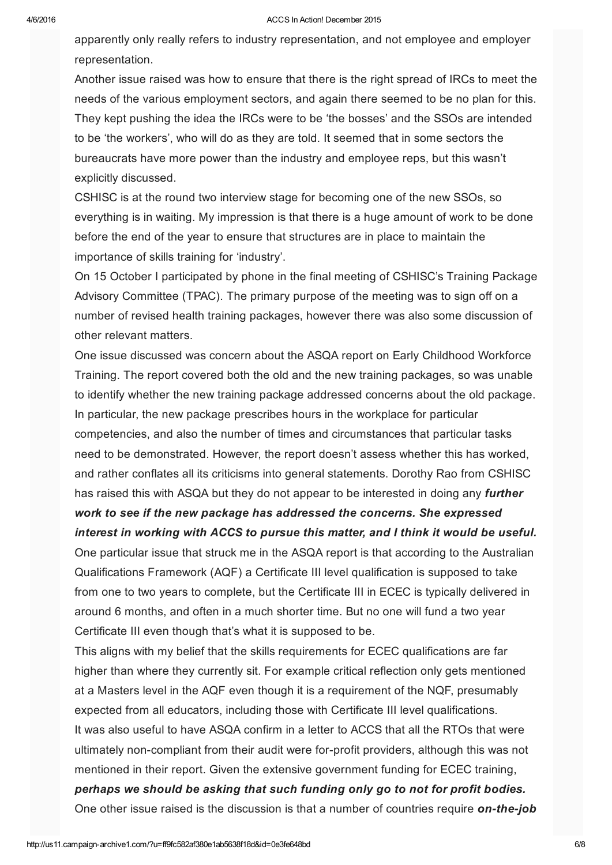#### 4/6/2016 ACCS In Action! December 2015

apparently only really refers to industry representation, and not employee and employer representation.

Another issue raised was how to ensure that there is the right spread of IRCs to meet the needs of the various employment sectors, and again there seemed to be no plan for this. They kept pushing the idea the IRCs were to be 'the bosses' and the SSOs are intended to be 'the workers', who will do as they are told. It seemed that in some sectors the bureaucrats have more power than the industry and employee reps, but this wasn't explicitly discussed.

CSHISC is at the round two interview stage for becoming one of the new SSOs, so everything is in waiting. My impression is that there is a huge amount of work to be done before the end of the year to ensure that structures are in place to maintain the importance of skills training for 'industry'.

On 15 October I participated by phone in the final meeting of CSHISC's Training Package Advisory Committee (TPAC). The primary purpose of the meeting was to sign off on a number of revised health training packages, however there was also some discussion of other relevant matters.

One issue discussed was concern about the ASQA report on Early Childhood Workforce Training. The report covered both the old and the new training packages, so was unable to identify whether the new training package addressed concerns about the old package. In particular, the new package prescribes hours in the workplace for particular competencies, and also the number of times and circumstances that particular tasks need to be demonstrated. However, the report doesn't assess whether this has worked, and rather conflates all its criticisms into general statements. Dorothy Rao from CSHISC has raised this with ASQA but they do not appear to be interested in doing any *further work to see if the new package has addressed the concerns. She expressed interest in working with ACCS to pursue this matter, and I think it would be useful.* One particular issue that struck me in the ASQA report is that according to the Australian Qualifications Framework (AQF) a Certificate III level qualification is supposed to take from one to two years to complete, but the Certificate III in ECEC is typically delivered in around 6 months, and often in a much shorter time. But no one will fund a two year Certificate III even though that's what it is supposed to be.

This aligns with my belief that the skills requirements for ECEC qualifications are far higher than where they currently sit. For example critical reflection only gets mentioned at a Masters level in the AQF even though it is a requirement of the NQF, presumably expected from all educators, including those with Certificate III level qualifications. It was also useful to have ASQA confirm in a letter to ACCS that all the RTOs that were ultimately non-compliant from their audit were for-profit providers, although this was not mentioned in their report. Given the extensive government funding for ECEC training, *perhaps we should be asking that such funding only go to not for profit bodies.* One other issue raised is the discussion is that a number of countries require *on-the-job*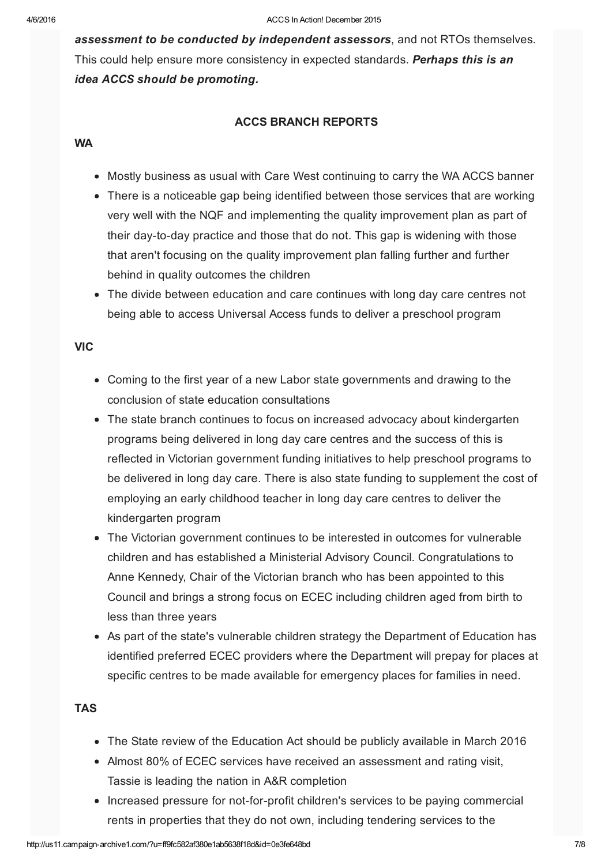*assessment to be conducted by independent assessors*, and not RTOs themselves. This could help ensure more consistency in expected standards. *Perhaps this is an idea ACCS should be promoting.*

#### ACCS BRANCH REPORTS

#### **WA**

- Mostly business as usual with Care West continuing to carry the WA ACCS banner
- There is a noticeable gap being identified between those services that are working very well with the NQF and implementing the quality improvement plan as part of their day-to-day practice and those that do not. This gap is widening with those that aren't focusing on the quality improvement plan falling further and further behind in quality outcomes the children
- The divide between education and care continues with long day care centres not being able to access Universal Access funds to deliver a preschool program

#### **VIC**

- Coming to the first year of a new Labor state governments and drawing to the conclusion of state education consultations
- The state branch continues to focus on increased advocacy about kindergarten programs being delivered in long day care centres and the success of this is reflected in Victorian government funding initiatives to help preschool programs to be delivered in long day care. There is also state funding to supplement the cost of employing an early childhood teacher in long day care centres to deliver the kindergarten program
- The Victorian government continues to be interested in outcomes for vulnerable children and has established a Ministerial Advisory Council. Congratulations to Anne Kennedy, Chair of the Victorian branch who has been appointed to this Council and brings a strong focus on ECEC including children aged from birth to less than three years
- As part of the state's vulnerable children strategy the Department of Education has identified preferred ECEC providers where the Department will prepay for places at specific centres to be made available for emergency places for families in need.

#### TAS

- The State review of the Education Act should be publicly available in March 2016
- Almost 80% of ECEC services have received an assessment and rating visit, Tassie is leading the nation in A&R completion
- Increased pressure for not-for-profit children's services to be paying commercial rents in properties that they do not own, including tendering services to the